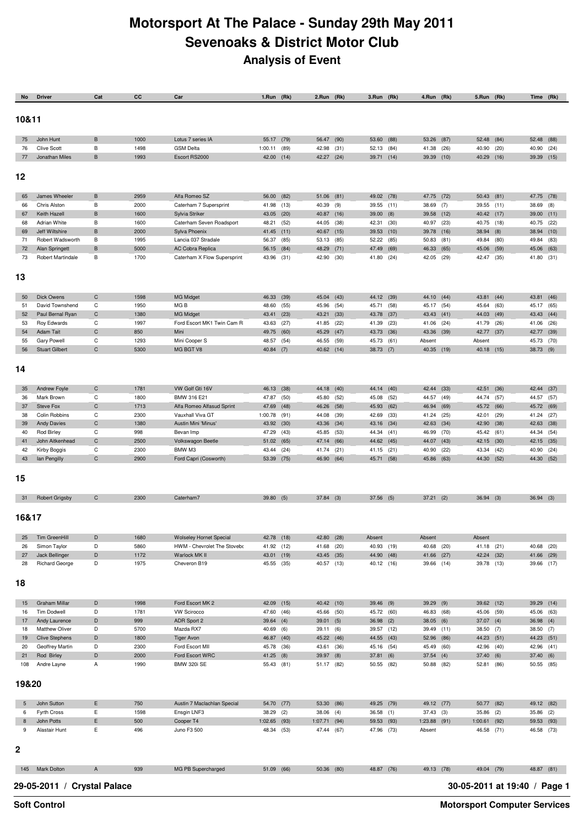## **Motorsport At The Palace - Sunday 29th May 2011 Sevenoaks & District Motor Club Analysis of Event**

| No       | <b>Driver</b>                            | Cat               | СC           | Car                                      | 1.Run (Rk)                   |      | 2.Run (Rk)               |              | 3.Run (Rk)          |              | 4.Run (Rk)          |              | 5.Run (Rk)               |      | Time                         | (Rk)                     |
|----------|------------------------------------------|-------------------|--------------|------------------------------------------|------------------------------|------|--------------------------|--------------|---------------------|--------------|---------------------|--------------|--------------------------|------|------------------------------|--------------------------|
|          |                                          |                   |              |                                          |                              |      |                          |              |                     |              |                     |              |                          |      |                              |                          |
| 10&11    |                                          |                   |              |                                          |                              |      |                          |              |                     |              |                     |              |                          |      |                              |                          |
| 75       | John Hunt                                | $\theta$          | 1000         | Lotus 7 series IA                        | 55.17 (79)                   |      | 56.47                    | (90)         | 53.60               | (88)         | 53.26               | (87)         | 52.48                    | (84) |                              | 52.48 (88)               |
| 76       | <b>Clive Scott</b>                       | $\, {\bf B}$      | 1498         | <b>GSM Delta</b>                         | $1:00.11$ (89)               |      | 42.98                    | (31)         | 52.13               | (84)         | 41.38               | (26)         | 40.90                    | (20) | 40.90                        | (24)                     |
| 77       | Jonathan Miles                           | B                 | 1993         | Escort RS2000                            | 42.00 (14)                   |      | 42.27 (24)               |              | 39.71               | (14)         | 39.39 (10)          |              | 40.29 (16)               |      |                              | 39.39 (15)               |
|          |                                          |                   |              |                                          |                              |      |                          |              |                     |              |                     |              |                          |      |                              |                          |
| 12       |                                          |                   |              |                                          |                              |      |                          |              |                     |              |                     |              |                          |      |                              |                          |
| 65       | James Wheeler                            | B                 | 2959         | Alfa Romeo SZ                            | 56.00 (82)                   |      | 51.06 (81)               |              | 49.02 (78)          |              | 47.75 (72)          |              | $50.43$ (81)             |      |                              | 47.75 (78)               |
| 66       | Chris Alston                             | В                 | 2000         | Caterham 7 Supersprint                   | 41.98 (13)                   |      | 40.39                    | (9)          | 39.55 (11)          |              | 38.69               | (7)          | 39.55                    | (11) | 38.69                        | (8)                      |
| 67       | Keith Hazell                             | В                 | 1600         | Sylvia Striker                           | 43.05 (20)                   |      | 40.87 (16)               |              | 39.00               | (8)          | 39.58               | (12)         | 40.42 (17)               |      |                              | 39.00 (11)               |
| 68       | Adrian White                             | В                 | 1600         | Caterham Seven Roadsport                 | 48.21                        | (52) | 44.05<br>40.67 (15)      | (38)         | 42.31               | (30)         | 40.97               | (23)         | 40.75 (18)               |      |                              | 40.75 (22)               |
| 69<br>71 | Jeff Wiltshire<br>Robert Wadsworth       | В<br>В            | 2000<br>1995 | Sylva Phoenix<br>Lancia 037 Stradale     | 41.45 (11)<br>56.37          | (85) | 53.13                    | (85)         | 39.53<br>52.22      | (10)<br>(85) | 39.78<br>50.83      | (16)<br>(81) | 38.94(8)<br>49.84        | (80) | 49.84                        | 38.94 (10)<br>(83)       |
| 72       | <b>Alan Springett</b>                    | В                 | 5000         | <b>AC Cobra Replica</b>                  | 56.15 (84)                   |      | 48.29                    | (71)         | 47.49               | (69)         | 46.33               | (65)         | 45.06 (59)               |      |                              | 45.06 (63)               |
| 73       | <b>Robert Martindale</b>                 | В                 | 1700         | Caterham X Flow Supersprint              | 43.96 (31)                   |      | 42.90                    | (30)         | 41.80               | (24)         | 42.05               | (29)         | 42.47 (35)               |      | 41.80                        | (31)                     |
|          |                                          |                   |              |                                          |                              |      |                          |              |                     |              |                     |              |                          |      |                              |                          |
| 13       |                                          |                   |              |                                          |                              |      |                          |              |                     |              |                     |              |                          |      |                              |                          |
| 50       | <b>Dick Owens</b>                        | $\mathsf{C}$      | 1598         | <b>MG Midget</b>                         | 46.33 (39)                   |      | 45.04 (43)               |              | 44.12 (39)          |              | 44.10 (44)          |              | 43.81                    | (44) | 43.81                        | (46)                     |
| 51       | David Townshend                          | C                 | 1950         | MG B                                     | 48.60                        | (55) | 45.96                    | (54)         | 45.71               | (58)         | 45.17 (54)          |              | 45.64                    | (63) |                              | 45.17 (65)               |
| 52       | Paul Bernal Ryan                         | $\mathsf{C}$      | 1380         | <b>MG Midget</b>                         | 43.41 (23)                   |      | 43.21 (33)               |              | 43.78               | (37)         | 43.43 (41)          |              | 44.03 (49)               |      |                              | 43.43 (44)               |
| 53       | Roy Edwards                              | C                 | 1997         | Ford Escort MK1 Twin Cam R               | 43.63                        | (27) | 41.85                    | (22)         | 41.39               | (23)         | 41.06               | (24)         | 41.79                    | (26) |                              | 41.06 (26)               |
| 54<br>55 | Adam Tait<br>Gary Powell                 | $\mathsf{C}$<br>C | 850<br>1293  | Mini<br>Mini Cooper S                    | 49.75 (60)<br>48.57          | (54) | 45.29<br>46.55           | (47)<br>(59) | 43.73<br>45.73      | (36)<br>(61) | 43.36<br>Absent     | (39)         | 42.77 (37)<br>Absent     |      | 45.73                        | 42.77 (39)<br>(70)       |
| 56       | <b>Stuart Gilbert</b>                    | C                 | 5300         | MG BGT V8                                | 40.84 (7)                    |      | 40.62 (14)               |              | $38.73$ (7)         |              | 40.35 (19)          |              | 40.18 (15)               |      |                              | 38.73 (9)                |
|          |                                          |                   |              |                                          |                              |      |                          |              |                     |              |                     |              |                          |      |                              |                          |
| 14       |                                          |                   |              |                                          |                              |      |                          |              |                     |              |                     |              |                          |      |                              |                          |
|          |                                          |                   |              |                                          |                              |      |                          |              |                     |              |                     |              |                          |      |                              |                          |
| 35       | Andrew Foyle                             | C                 | 1781         | VW Golf Gti 16V                          | 46.13                        | (38) | 44.18                    | (40)         | 44.14               | (40)         | 42.44               | (33)         | 42.51                    | (36) | 42.44                        | (37)                     |
| 36<br>37 | Mark Brown                               | C<br>$\mathsf C$  | 1800<br>1713 | BMW 316 E21<br>Alfa Romeo Alfasud Sprint | 47.87                        | (50) | 45.80<br>46.26 (58)      | (52)         | 45.08               | (52)         | 44.57               | (49)         | 44.74                    | (57) | 44.57                        | (57)                     |
| 38       | Steve Fox<br>Colin Robbins               | С                 | 2300         | Vauxhall Viva GT                         | 47.69 (48)<br>$1:00.78$ (91) |      | 44.08                    | (39)         | 45.93<br>42.69      | (62)<br>(33) | 46.94<br>41.24      | (69)<br>(25) | 45.72 (66)<br>42.01      | (29) | 41.24                        | 45.72 (69)<br>(27)       |
| 39       | <b>Andy Davies</b>                       | $\mathsf{C}$      | 1380         | Austin Mini 'Minus'                      | 43.92 (30)                   |      | 43.36 (34)               |              | 43.16               | (34)         | 42.63               | (34)         | 42.90 (38)               |      | 42.63                        | (38)                     |
| 40       | <b>Rod Birley</b>                        | С                 | 998          | Bevan Imp                                | 47.29 (43)                   |      | 45.85                    | (53)         | 44.34               | (41)         | 46.99               | (70)         | 45.42 (61)               |      |                              | 44.34 (54)               |
| 41       | John Aitkenhead                          | $\mathsf{C}$      | 2500         | Volkswagon Beetle                        | 51.02 (65)                   |      | 47.14 (66)               |              | 44.62               | (45)         | 44.07               | (43)         | 42.15 (30)               |      |                              | 42.15 (35)               |
| 42<br>43 | Kirby Boggis<br>Ian Pengilly             | C<br>$\mathsf{C}$ | 2300<br>2900 | BMW M3<br>Ford Capri (Cosworth)          | 43.44 (24)<br>53.39 (75)     |      | 41.74 (21)<br>46.90 (64) |              | 41.15<br>45.71 (58) | (21)         | 40.90<br>45.86 (63) | (22)         | 43.34 (42)<br>44.30 (52) |      |                              | 40.90 (24)<br>44.30 (52) |
|          |                                          |                   |              |                                          |                              |      |                          |              |                     |              |                     |              |                          |      |                              |                          |
| 15       |                                          |                   |              |                                          |                              |      |                          |              |                     |              |                     |              |                          |      |                              |                          |
|          |                                          |                   |              |                                          |                              |      |                          |              |                     |              |                     |              |                          |      |                              |                          |
| 31       | <b>Robert Grigsby</b>                    | C                 | 2300         | Caterham7                                | 39.80 (5)                    |      | $37.84$ (3)              |              | $37.56$ (5)         |              | 37.21               | (2)          | $36.94$ (3)              |      |                              | $36.94$ (3)              |
| 16&17    |                                          |                   |              |                                          |                              |      |                          |              |                     |              |                     |              |                          |      |                              |                          |
|          |                                          |                   |              |                                          |                              |      |                          |              |                     |              |                     |              |                          |      |                              |                          |
| 25       | Tim GreenHill                            | D                 | 1680         | <b>Wolseley Hornet Special</b>           | 42.78 (18)                   |      | 42.80 (28)               |              | Absent              |              | Absent              |              | Absent                   |      |                              |                          |
| 26       | Simon Taylor                             | D                 | 5860         | HWM - Chevrolet The Stovebo              | 41.92 (12)                   |      | 41.68                    | (20)         | 40.93               | (19)         | 40.68               | (20)         | 41.18                    | (21) |                              | 40.68 (20)               |
| 27       | Jack Bellinger                           | D                 | 1172         | Warlock MK II                            | 43.01 (19)                   |      | 43.45 (35)               |              | 44.90 (48)          |              | 41.66 (27)          |              | 42.24 (32)               |      |                              | 41.66 (29)               |
| 28       | <b>Richard George</b>                    | D                 | 1975         | Cheveron B19                             | 45.55 (35)                   |      | 40.57 (13)               |              | 40.12 (16)          |              | 39.66 (14)          |              | 39.78 (13)               |      |                              | 39.66 (17)               |
|          |                                          |                   |              |                                          |                              |      |                          |              |                     |              |                     |              |                          |      |                              |                          |
| 18       |                                          |                   |              |                                          |                              |      |                          |              |                     |              |                     |              |                          |      |                              |                          |
| 15       | Graham Millar                            | D                 | 1998         | Ford Escort MK 2                         | 42.09 (15)                   |      | 40.42 (10)               |              | 39.46 (9)           |              | $39.29$ (9)         |              | 39.62 (12)               |      |                              | 39.29 (14)               |
| 16       | Tim Dodwell                              | D                 | 1781         | <b>VW Scirocco</b>                       | 47.60 (46)                   |      | 45.66 (50)               |              | 45.72 (60)          |              | 46.83               | (68)         | 45.06 (59)               |      |                              | 45.06 (63)               |
| 17       | Andy Laurence                            | D                 | 999          | ADR Sport 2                              | $39.64$ (4)                  |      | $39.01$ (5)              |              | $36.98$ (2)         |              | 38.05(6)            |              | $37.07$ (4)              |      |                              | $36.98$ (4)              |
| 18       | Matthew Oliver                           | D                 | 5700         | Mazda RX7                                | 40.69 (6)                    |      | 39.11 (6)                |              | 39.57 (12)          |              | 39.49 (11)          |              | 38.50                    | (7)  |                              | 38.50 (7)                |
| 19<br>20 | <b>Clive Stephens</b><br>Geoffrey Martin | D<br>D            | 1800<br>2300 | <b>Tiger Avon</b><br>Ford Escort MII     | 46.87 (40)<br>45.78 (36)     |      | 45.22 (46)<br>43.61      | (36)         | 44.55 (43)<br>45.16 | (54)         | 52.96<br>45.49      | (86)<br>(60) | 44.23 (51)<br>42.96      | (40) |                              | 44.23 (51)<br>42.96 (41) |
| 21       | Rod Birley                               | D                 | 2000         | Ford Escort WRC                          | 41.25 (8)                    |      | 39.97 (8)                |              | 37.81               | (6)          | 37.54(4)            |              | 37.40 (6)                |      |                              | 37.40 (6)                |
| 108      | Andre Layne                              | Α                 | 1990         | <b>BMW 320i SE</b>                       | 55.43 (81)                   |      | 51.17 (82)               |              | 50.55               | (82)         | 50.88 (82)          |              | 52.81 (86)               |      |                              | 50.55 (85)               |
|          |                                          |                   |              |                                          |                              |      |                          |              |                     |              |                     |              |                          |      |                              |                          |
| 19&20    |                                          |                   |              |                                          |                              |      |                          |              |                     |              |                     |              |                          |      |                              |                          |
| 5        | John Sutton                              | Е                 | 750          | Austin 7 Maclachlan Special              | 54.70 (77)                   |      | 53.30 (86)               |              | 49.25 (79)          |              | 49.12 (77)          |              | 50.77 (82)               |      |                              | 49.12 (82)               |
| 6        | Fyrth Cross                              | Е                 | 1598         | Ensgin LNF3                              | 38.29                        | (2)  | 38.06 (4)                |              | $36.58$ (1)         |              | 37.43(3)            |              | 35.86                    | (2)  |                              | 35.86 (2)                |
| 8        | John Potts                               | E                 | 500          | Cooper T4                                | 1:02.65 (93)                 |      | 1:07.71 (94)             |              | 59.53 (93)          |              | 1:23.88 (91)        |              | 1:00.61                  | (92) |                              | 59.53 (93)               |
| 9        | Alastair Hunt                            | E                 | 496          | Juno F3 500                              | 48.34 (53)                   |      | 47.44 (67)               |              | 47.96 (73)          |              | Absent              |              | 46.58 (71)               |      |                              | 46.58 (73)               |
|          |                                          |                   |              |                                          |                              |      |                          |              |                     |              |                     |              |                          |      |                              |                          |
| 2        |                                          |                   |              |                                          |                              |      |                          |              |                     |              |                     |              |                          |      |                              |                          |
| 145      | Mark Dolton                              | Α                 | 939          | MG PB Supercharged                       | 51.09 (66)                   |      | 50.36 (80)               |              | 48.87 (76)          |              | 49.13 (78)          |              | 49.04 (79)               |      |                              | 48.87 (81)               |
|          |                                          |                   |              |                                          |                              |      |                          |              |                     |              |                     |              |                          |      |                              |                          |
|          | 29-05-2011 / Crystal Palace              |                   |              |                                          |                              |      |                          |              |                     |              |                     |              |                          |      | 30-05-2011 at 19:40 / Page 1 |                          |